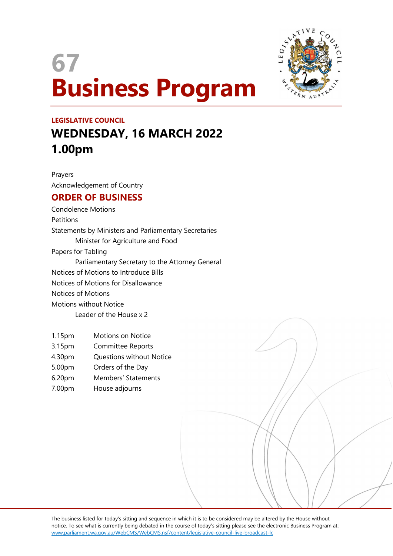# 67 Business Program



## LEGISLATIVE COUNCIL WEDNESDAY, 16 MARCH 2022 1.00pm

Prayers Acknowledgement of Country

### ORDER OF BUSINESS

Condolence Motions Petitions Statements by Ministers and Parliamentary Secretaries Minister for Agriculture and Food Papers for Tabling Parliamentary Secretary to the Attorney General Notices of Motions to Introduce Bills Notices of Motions for Disallowance Notices of Motions Motions without Notice Leader of the House x 2

- 1.15pm Motions on Notice
- 3.15pm Committee Reports
- 4.30pm Questions without Notice
- 5.00pm Orders of the Day
- 6.20pm Members' Statements
- 7.00pm House adjourns

The business listed for today's sitting and sequence in which it is to be considered may be altered by the House without notice. To see what is currently being debated in the course of today's sitting please see the electronic Business Program at: www.parliament.wa.gov.au/WebCMS/WebCMS.nsf/content/legislative-council-live-broadcast-lc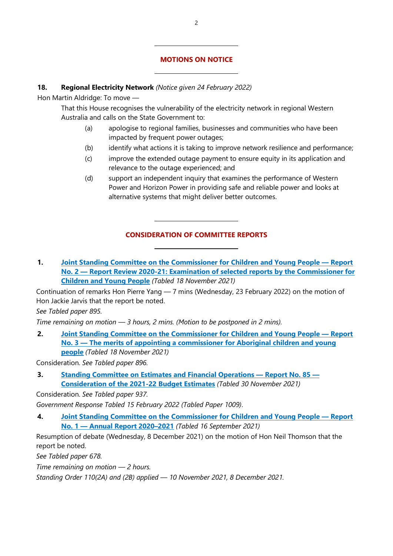#### MOTIONS ON NOTICE

#### 18. Regional Electricity Network (Notice given 24 February 2022)

 $\overline{a}$ 

 $\overline{a}$ 

Hon Martin Aldridge: To move —

That this House recognises the vulnerability of the electricity network in regional Western Australia and calls on the State Government to:

- (a) apologise to regional families, businesses and communities who have been impacted by frequent power outages;
- (b) identify what actions it is taking to improve network resilience and performance;
- (c) improve the extended outage payment to ensure equity in its application and relevance to the outage experienced; and
- (d) support an independent inquiry that examines the performance of Western Power and Horizon Power in providing safe and reliable power and looks at alternative systems that might deliver better outcomes.

#### CONSIDERATION OF COMMITTEE REPORTS

1. Joint Standing Committee on the Commissioner for Children and Young People — Report No. 2 — Report Review 2020-21: Examination of selected reports by the Commissioner for Children and Young People (Tabled 18 November 2021)

Continuation of remarks Hon Pierre Yang — 7 mins (Wednesday, 23 February 2022) on the motion of Hon Jackie Jarvis that the report be noted.

See Tabled paper 895.

Time remaining on motion — 3 hours, 2 mins. (Motion to be postponed in 2 mins).

 $\overline{a}$ 

 $\overline{a}$ 

2. Joint Standing Committee on the Commissioner for Children and Young People — Report No. 3 — The merits of appointing a commissioner for Aboriginal children and young people (Tabled 18 November 2021)

Consideration. See Tabled paper 896.

3. Standing Committee on Estimates and Financial Operations — Report No. 85 — Consideration of the 2021-22 Budget Estimates (Tabled 30 November 2021)

Consideration. See Tabled paper 937.

Government Response Tabled 15 February 2022 (Tabled Paper 1009).

4. Joint Standing Committee on the Commissioner for Children and Young People — Report No. 1 — Annual Report 2020–2021 (Tabled 16 September 2021)

Resumption of debate (Wednesday, 8 December 2021) on the motion of Hon Neil Thomson that the report be noted.

See Tabled paper 678.

Time remaining on motion — 2 hours.

Standing Order 110(2A) and (2B) applied — 10 November 2021, 8 December 2021.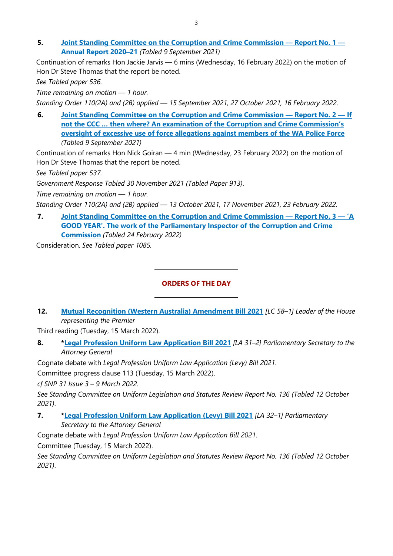5. Joint Standing Committee on the Corruption and Crime Commission — Report No. 1 — Annual Report 2020–21 (Tabled 9 September 2021)

Continuation of remarks Hon Jackie Jarvis — 6 mins (Wednesday, 16 February 2022) on the motion of Hon Dr Steve Thomas that the report be noted.

See Tabled paper 536.

Time remaining on motion — 1 hour.

Standing Order 110(2A) and (2B) applied — 15 September 2021, 27 October 2021, 16 February 2022.

6. Joint Standing Committee on the Corruption and Crime Commission — Report No. 2 — If not the CCC … then where? An examination of the Corruption and Crime Commission's oversight of excessive use of force allegations against members of the WA Police Force (Tabled 9 September 2021)

Continuation of remarks Hon Nick Goiran — 4 min (Wednesday, 23 February 2022) on the motion of Hon Dr Steve Thomas that the report be noted.

See Tabled paper 537.

Government Response Tabled 30 November 2021 (Tabled Paper 913).

Time remaining on motion — 1 hour.

Standing Order 110(2A) and (2B) applied — 13 October 2021, 17 November 2021, 23 February 2022.

7. Joint Standing Committee on the Corruption and Crime Commission — Report No. 3 — 'A GOOD YEAR'. The work of the Parliamentary Inspector of the Corruption and Crime Commission (Tabled 24 February 2022)

Consideration. See Tabled paper 1085.

#### ORDERS OF THE DAY

12. Mutual Recognition (Western Australia) Amendment Bill 2021 [LC 58-1] Leader of the House representing the Premier

Third reading (Tuesday, 15 March 2022).

8. \*Legal Profession Uniform Law Application Bill 2021 [LA 31-2] Parliamentary Secretary to the Attorney General

Cognate debate with Legal Profession Uniform Law Application (Levy) Bill 2021.

 $\overline{a}$ 

 $\overline{a}$ 

Committee progress clause 113 (Tuesday, 15 March 2022).

cf SNP 31 Issue 3 – 9 March 2022.

See Standing Committee on Uniform Legislation and Statutes Review Report No. 136 (Tabled 12 October 2021).

7. \*Legal Profession Uniform Law Application (Levy) Bill 2021 [LA 32-1] Parliamentary Secretary to the Attorney General

Cognate debate with Legal Profession Uniform Law Application Bill 2021.

Committee (Tuesday, 15 March 2022).

See Standing Committee on Uniform Legislation and Statutes Review Report No. 136 (Tabled 12 October 2021).